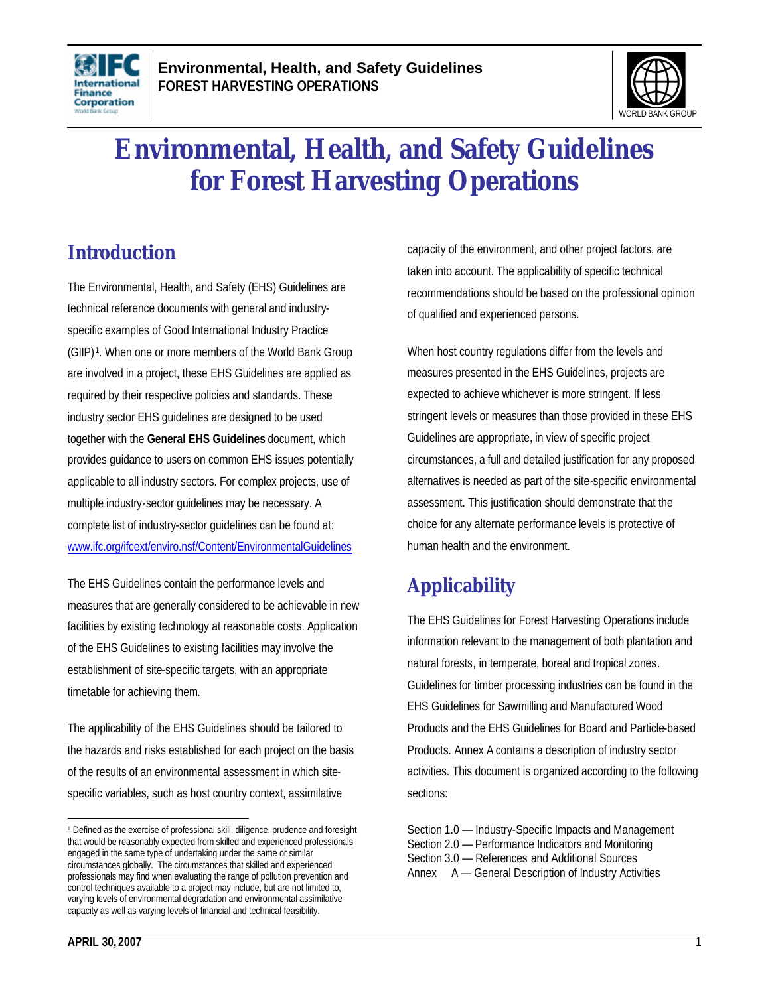



# **Environmental, Health, and Safety Guidelines for Forest Harvesting Operations**

# **Introduction**

The Environmental, Health, and Safety (EHS) Guidelines are technical reference documents with general and industryspecific examples of Good International Industry Practice (GIIP) <sup>1</sup> . When one or more members of the World Bank Group are involved in a project, these EHS Guidelines are applied as required by their respective policies and standards. These industry sector EHS guidelines are designed to be used together with the **General EHS Guidelines** document, which provides guidance to users on common EHS issues potentially applicable to all industry sectors. For complex projects, use of multiple industry-sector guidelines may be necessary. A complete list of industry-sector guidelines can be found at: www.ifc.org/ifcext/enviro.nsf/Content/EnvironmentalGuidelines

The EHS Guidelines contain the performance levels and measures that are generally considered to be achievable in new facilities by existing technology at reasonable costs. Application of the EHS Guidelines to existing facilities may involve the establishment of site-specific targets, with an appropriate timetable for achieving them.

The applicability of the EHS Guidelines should be tailored to the hazards and risks established for each project on the basis of the results of an environmental assessment in which sitespecific variables, such as host country context, assimilative

capacity of the environment, and other project factors, are taken into account. The applicability of specific technical recommendations should be based on the professional opinion of qualified and experienced persons.

When host country regulations differ from the levels and measures presented in the EHS Guidelines, projects are expected to achieve whichever is more stringent. If less stringent levels or measures than those provided in these EHS Guidelines are appropriate, in view of specific project circumstances, a full and detailed justification for any proposed alternatives is needed as part of the site-specific environmental assessment. This justification should demonstrate that the choice for any alternate performance levels is protective of human health and the environment.

# **Applicability**

The EHS Guidelines for Forest Harvesting Operations include information relevant to the management of both plantation and natural forests, in temperate, boreal and tropical zones. Guidelines for timber processing industries can be found in the EHS Guidelines for Sawmilling and Manufactured Wood Products and the EHS Guidelines for Board and Particle-based Products. Annex A contains a description of industry sector activities. This document is organized according to the following sections:

Section 1.0 — Industry-Specific Impacts and Management Section 2.0 — Performance Indicators and Monitoring Section 3.0 — References and Additional Sources Annex A — General Description of Industry Activities

 $\overline{a}$ <sup>1</sup> Defined as the exercise of professional skill, diligence, prudence and foresight that would be reasonably expected from skilled and experienced professionals engaged in the same type of undertaking under the same or similar circumstances globally. The circumstances that skilled and experienced professionals may find when evaluating the range of pollution prevention and control techniques available to a project may include, but are not limited to, varying levels of environmental degradation and environmental assimilative capacity as well as varying levels of financial and technical feasibility.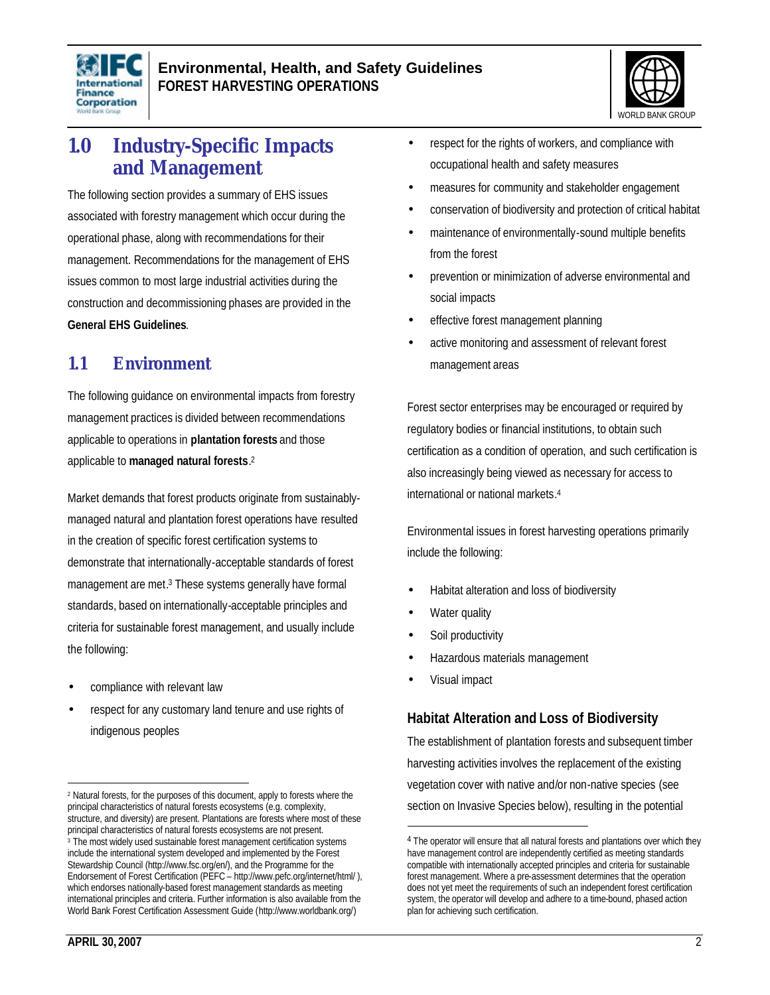



### **1.0 Industry-Specific Impacts and Management**

The following section provides a summary of EHS issues associated with forestry management which occur during the operational phase, along with recommendations for their management. Recommendations for the management of EHS issues common to most large industrial activities during the construction and decommissioning phases are provided in the **General EHS Guidelines**.

### **1.1 Environment**

The following guidance on environmental impacts from forestry management practices is divided between recommendations applicable to operations in **plantation forests** and those applicable to **managed natural forests**. 2

Market demands that forest products originate from sustainablymanaged natural and plantation forest operations have resulted in the creation of specific forest certification systems to demonstrate that internationally-acceptable standards of forest management are met. <sup>3</sup> These systems generally have formal standards, based on internationally-acceptable principles and criteria for sustainable forest management, and usually include the following:

- compliance with relevant law
- respect for any customary land tenure and use rights of indigenous peoples
- measures for community and stakeholder engagement
- conservation of biodiversity and protection of critical habitat
- maintenance of environmentally-sound multiple benefits from the forest
- prevention or minimization of adverse environmental and social impacts
- effective forest management planning
- active monitoring and assessment of relevant forest management areas

Forest sector enterprises may be encouraged or required by regulatory bodies or financial institutions, to obtain such certification as a condition of operation, and such certification is also increasingly being viewed as necessary for access to international or national markets. 4

Environmental issues in forest harvesting operations primarily include the following:

- Habitat alteration and loss of biodiversity
- Water quality
- Soil productivity
- Hazardous materials management
- Visual impact

1

#### **Habitat Alteration and Loss of Biodiversity**

The establishment of plantation forests and subsequent timber harvesting activities involves the replacement of the existing vegetation cover with native and/or non-native species (see section on Invasive Species below), resulting in the potential

<sup>2</sup> Natural forests, for the purposes of this document, apply to forests where the principal characteristics of natural forests ecosystems (e.g. complexity, structure, and diversity) are present. Plantations are forests where most of these principal characteristics of natural forests ecosystems are not present. <sup>3</sup> The most widely used sustainable forest management certification systems include the international system developed and implemented by the Forest Stewardship Council (http://www.fsc.org/en/), and the Programme for the Endorsement of Forest Certification (PEFC – http://www.pefc.org/internet/html/ ), which endorses nationally-based forest management standards as meeting international principles and criteria. Further information is also available from the World Bank Forest Certification Assessment Guide (http://www.worldbank.org/)

<sup>&</sup>lt;sup>4</sup> The operator will ensure that all natural forests and plantations over which they have management control are independently certified as meeting standards compatible with internationally accepted principles and criteria for sustainable forest management. Where a pre-assessment determines that the operation does not yet meet the requirements of such an independent forest certification system, the operator will develop and adhere to a time-bound, phased action plan for achieving such certification.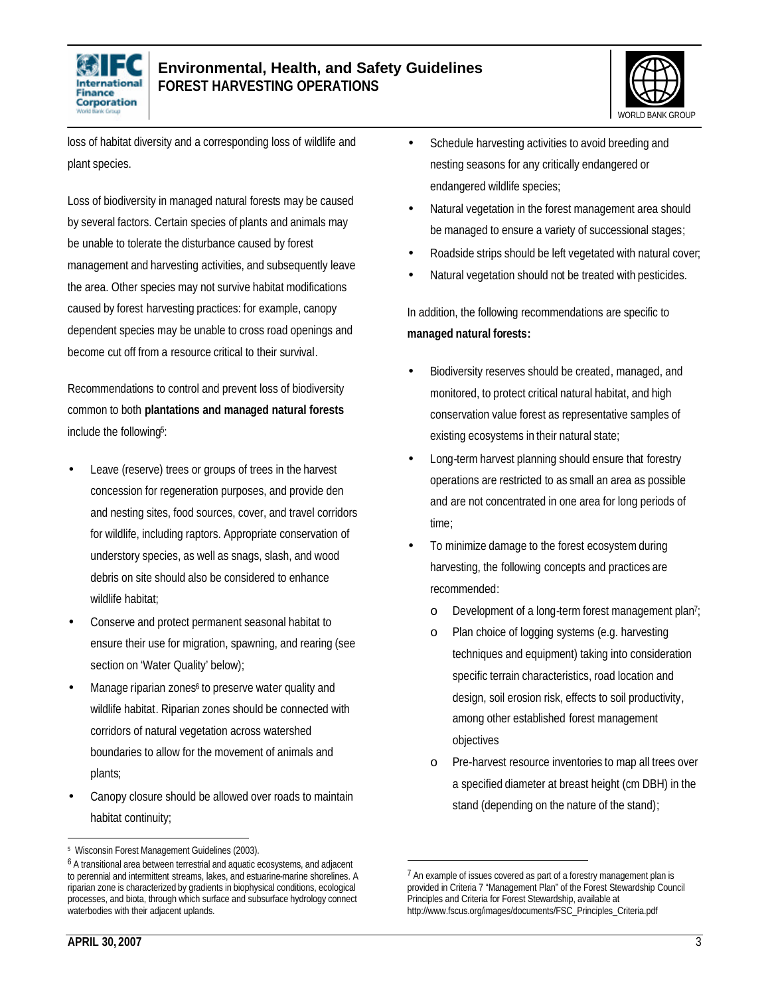



loss of habitat diversity and a corresponding loss of wildlife and plant species.

Loss of biodiversity in managed natural forests may be caused by several factors. Certain species of plants and animals may be unable to tolerate the disturbance caused by forest management and harvesting activities, and subsequently leave the area. Other species may not survive habitat modifications caused by forest harvesting practices: for example, canopy dependent species may be unable to cross road openings and become cut off from a resource critical to their survival.

Recommendations to control and prevent loss of biodiversity common to both **plantations and managed natural forests** include the following<sup>5</sup>:

- Leave (reserve) trees or groups of trees in the harvest concession for regeneration purposes, and provide den and nesting sites, food sources, cover, and travel corridors for wildlife, including raptors. Appropriate conservation of understory species, as well as snags, slash, and wood debris on site should also be considered to enhance wildlife habitat;
- Conserve and protect permanent seasonal habitat to ensure their use for migration, spawning, and rearing (see section on 'Water Quality' below);
- Manage riparian zones<sup>6</sup> to preserve water quality and wildlife habitat. Riparian zones should be connected with corridors of natural vegetation across watershed boundaries to allow for the movement of animals and plants;
- Canopy closure should be allowed over roads to maintain habitat continuity;
- Schedule harvesting activities to avoid breeding and nesting seasons for any critically endangered or endangered wildlife species;
- Natural vegetation in the forest management area should be managed to ensure a variety of successional stages;
- Roadside strips should be left vegetated with natural cover;
- Natural vegetation should not be treated with pesticides.

In addition, the following recommendations are specific to **managed natural forests:**

- Biodiversity reserves should be created, managed, and monitored, to protect critical natural habitat, and high conservation value forest as representative samples of existing ecosystems in their natural state;
- Long-term harvest planning should ensure that forestry operations are restricted to as small an area as possible and are not concentrated in one area for long periods of time;
- To minimize damage to the forest ecosystem during harvesting, the following concepts and practices are recommended:
	- o Development of a long-term forest management plan<sup>7</sup>;
	- o Plan choice of logging systems (e.g. harvesting techniques and equipment) taking into consideration specific terrain characteristics, road location and design, soil erosion risk, effects to soil productivity, among other established forest management objectives
	- o Pre-harvest resource inventories to map all trees over a specified diameter at breast height (cm DBH) in the stand (depending on the nature of the stand);

l 5 Wisconsin Forest Management Guidelines (2003).

<sup>&</sup>lt;sup>6</sup> A transitional area between terrestrial and aquatic ecosystems, and adjacent to perennial and intermittent streams, lakes, and estuarine-marine shorelines. A riparian zone is characterized by gradients in biophysical conditions, ecological processes, and biota, through which surface and subsurface hydrology connect waterbodies with their adjacent uplands.

<sup>&</sup>lt;sup>7</sup> An example of issues covered as part of a forestry management plan is provided in Criteria 7 "Management Plan" of the Forest Stewardship Council Principles and Criteria for Forest Stewardship, available at http://www.fscus.org/images/documents/FSC\_Principles\_Criteria.pdf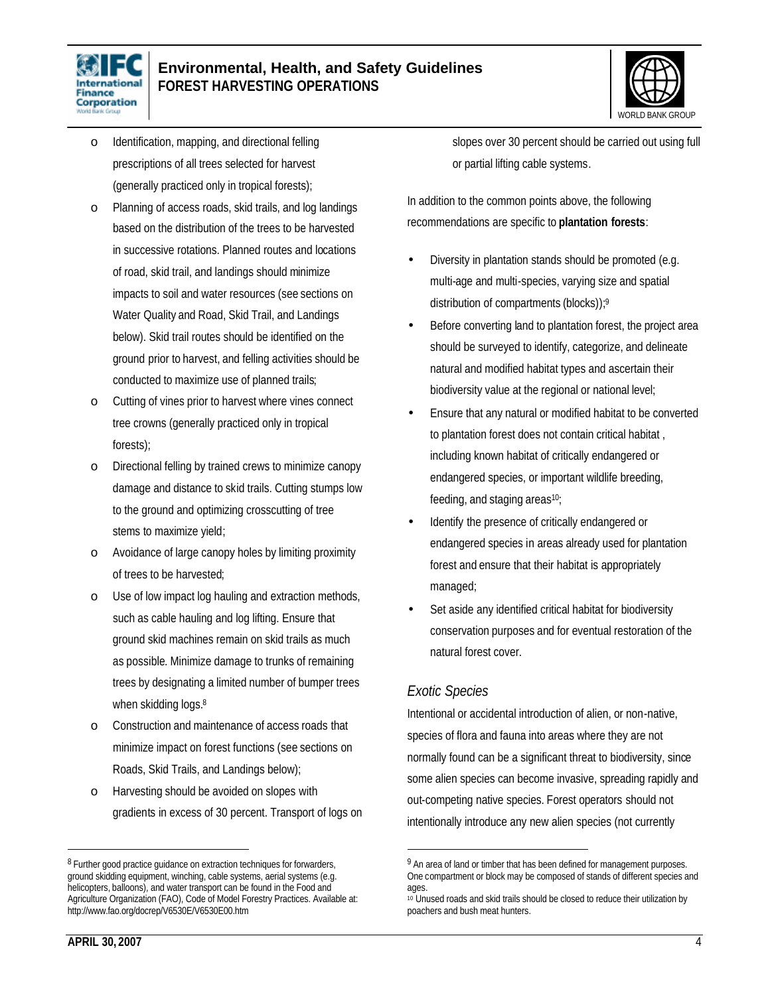



- o Identification, mapping, and directional felling prescriptions of all trees selected for harvest (generally practiced only in tropical forests);
- o Planning of access roads, skid trails, and log landings based on the distribution of the trees to be harvested in successive rotations. Planned routes and locations of road, skid trail, and landings should minimize impacts to soil and water resources (see sections on Water Quality and Road, Skid Trail, and Landings below). Skid trail routes should be identified on the ground prior to harvest, and felling activities should be conducted to maximize use of planned trails;
- o Cutting of vines prior to harvest where vines connect tree crowns (generally practiced only in tropical forests);
- o Directional felling by trained crews to minimize canopy damage and distance to skid trails. Cutting stumps low to the ground and optimizing crosscutting of tree stems to maximize yield;
- o Avoidance of large canopy holes by limiting proximity of trees to be harvested;
- o Use of low impact log hauling and extraction methods, such as cable hauling and log lifting. Ensure that ground skid machines remain on skid trails as much as possible. Minimize damage to trunks of remaining trees by designating a limited number of bumper trees when skidding logs.<sup>8</sup>
- o Construction and maintenance of access roads that minimize impact on forest functions (see sections on Roads, Skid Trails, and Landings below);
- o Harvesting should be avoided on slopes with gradients in excess of 30 percent. Transport of logs on

slopes over 30 percent should be carried out using full or partial lifting cable systems.

In addition to the common points above, the following recommendations are specific to **plantation forests**:

- Diversity in plantation stands should be promoted (e.g. multi-age and multi-species, varying size and spatial distribution of compartments (blocks));<sup>9</sup>
- Before converting land to plantation forest, the project area should be surveyed to identify, categorize, and delineate natural and modified habitat types and ascertain their biodiversity value at the regional or national level;
- Ensure that any natural or modified habitat to be converted to plantation forest does not contain critical habitat , including known habitat of critically endangered or endangered species, or important wildlife breeding, feeding, and staging areas<sup>10</sup>;
- Identify the presence of critically endangered or endangered species in areas already used for plantation forest and ensure that their habitat is appropriately managed;
- Set aside any identified critical habitat for biodiversity conservation purposes and for eventual restoration of the natural forest cover.

#### *Exotic Species*

1

Intentional or accidental introduction of alien, or non-native, species of flora and fauna into areas where they are not normally found can be a significant threat to biodiversity, since some alien species can become invasive, spreading rapidly and out-competing native species. Forest operators should not intentionally introduce any new alien species (not currently

<sup>&</sup>lt;sup>8</sup> Further good practice guidance on extraction techniques for forwarders, ground skidding equipment, winching, cable systems, aerial systems (e.g. helicopters, balloons), and water transport can be found in the Food and Agriculture Organization (FAO), Code of Model Forestry Practices. Available at: http://www.fao.org/docrep/V6530E/V6530E00.htm

<sup>&</sup>lt;sup>9</sup> An area of land or timber that has been defined for management purposes. One compartment or block may be composed of stands of different species and ages.

<sup>&</sup>lt;sup>10</sup> Unused roads and skid trails should be closed to reduce their utilization by poachers and bush meat hunters.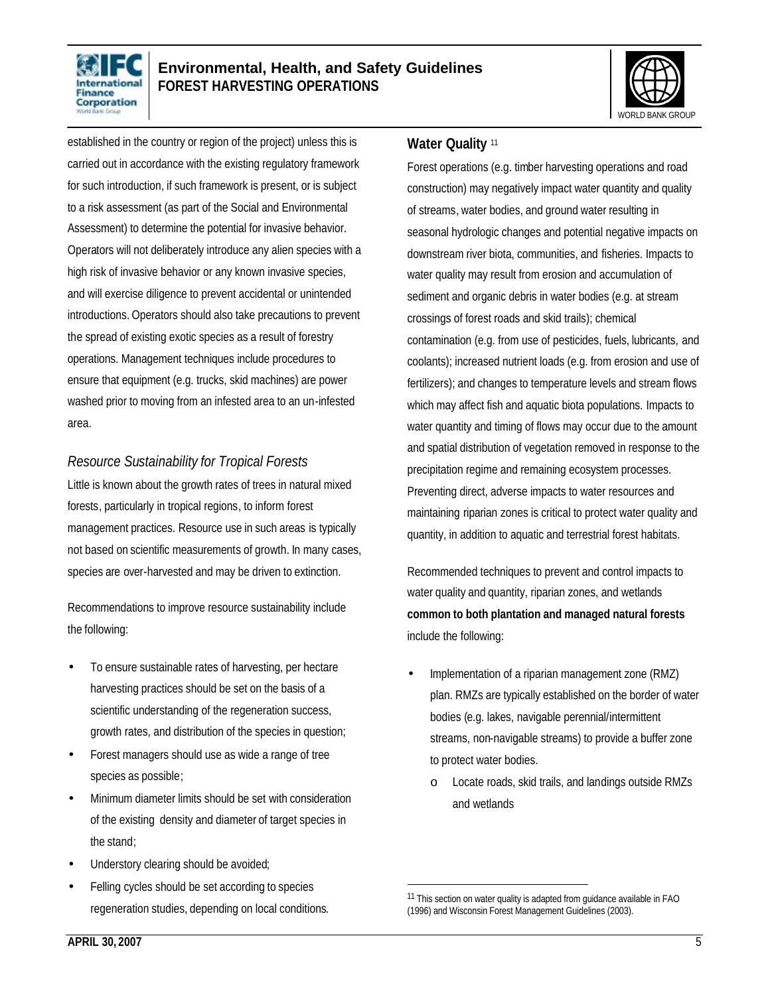



established in the country or region of the project) unless this is carried out in accordance with the existing regulatory framework for such introduction, if such framework is present, or is subject to a risk assessment (as part of the Social and Environmental Assessment) to determine the potential for invasive behavior. Operators will not deliberately introduce any alien species with a high risk of invasive behavior or any known invasive species, and will exercise diligence to prevent accidental or unintended introductions. Operators should also take precautions to prevent the spread of existing exotic species as a result of forestry operations. Management techniques include procedures to ensure that equipment (e.g. trucks, skid machines) are power washed prior to moving from an infested area to an un-infested area.

#### *Resource Sustainability for Tropical Forests*

Little is known about the growth rates of trees in natural mixed forests, particularly in tropical regions, to inform forest management practices. Resource use in such areas is typically not based on scientific measurements of growth. In many cases, species are over-harvested and may be driven to extinction.

Recommendations to improve resource sustainability include the following:

- To ensure sustainable rates of harvesting, per hectare harvesting practices should be set on the basis of a scientific understanding of the regeneration success, growth rates, and distribution of the species in question;
- Forest managers should use as wide a range of tree species as possible;
- Minimum diameter limits should be set with consideration of the existing density and diameter of target species in the stand;
- Understory clearing should be avoided;
- Felling cycles should be set according to species regeneration studies, depending on local conditions.

#### **Water Quality** <sup>11</sup>

Forest operations (e.g. timber harvesting operations and road construction) may negatively impact water quantity and quality of streams, water bodies, and ground water resulting in seasonal hydrologic changes and potential negative impacts on downstream river biota, communities, and fisheries. Impacts to water quality may result from erosion and accumulation of sediment and organic debris in water bodies (e.g. at stream crossings of forest roads and skid trails); chemical contamination (e.g. from use of pesticides, fuels, lubricants, and coolants); increased nutrient loads (e.g. from erosion and use of fertilizers); and changes to temperature levels and stream flows which may affect fish and aquatic biota populations. Impacts to water quantity and timing of flows may occur due to the amount and spatial distribution of vegetation removed in response to the precipitation regime and remaining ecosystem processes. Preventing direct, adverse impacts to water resources and maintaining riparian zones is critical to protect water quality and quantity, in addition to aquatic and terrestrial forest habitats.

Recommended techniques to prevent and control impacts to water quality and quantity, riparian zones, and wetlands **common to both plantation and managed natural forests** include the following:

- Implementation of a riparian management zone (RMZ) plan. RMZs are typically established on the border of water bodies (e.g. lakes, navigable perennial/intermittent streams, non-navigable streams) to provide a buffer zone to protect water bodies.
	- o Locate roads, skid trails, and landings outside RMZs and wetlands

1

<sup>&</sup>lt;sup>11</sup> This section on water quality is adapted from guidance available in FAO (1996) and Wisconsin Forest Management Guidelines (2003).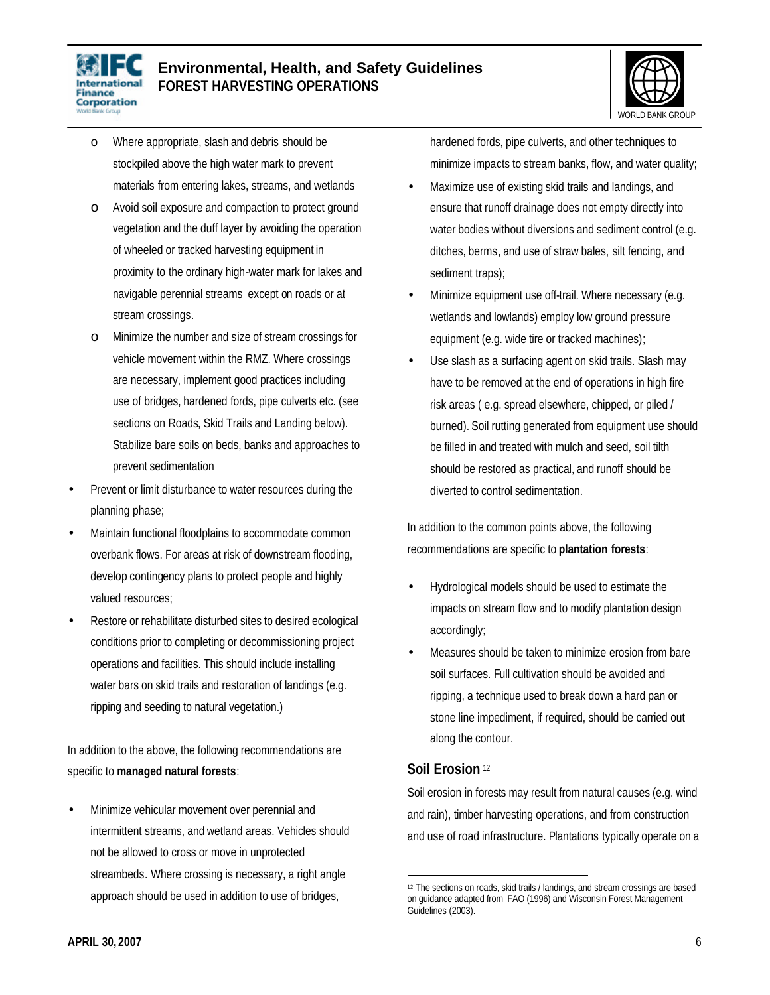



- o Where appropriate, slash and debris should be stockpiled above the high water mark to prevent materials from entering lakes, streams, and wetlands
- o Avoid soil exposure and compaction to protect ground vegetation and the duff layer by avoiding the operation of wheeled or tracked harvesting equipment in proximity to the ordinary high-water mark for lakes and navigable perennial streams except on roads or at stream crossings.
- o Minimize the number and size of stream crossings for vehicle movement within the RMZ. Where crossings are necessary, implement good practices including use of bridges, hardened fords, pipe culverts etc. (see sections on Roads, Skid Trails and Landing below). Stabilize bare soils on beds, banks and approaches to prevent sedimentation
- Prevent or limit disturbance to water resources during the planning phase;
- Maintain functional floodplains to accommodate common overbank flows. For areas at risk of downstream flooding, develop contingency plans to protect people and highly valued resources;
- Restore or rehabilitate disturbed sites to desired ecological conditions prior to completing or decommissioning project operations and facilities. This should include installing water bars on skid trails and restoration of landings (e.g. ripping and seeding to natural vegetation.)

In addition to the above, the following recommendations are specific to **managed natural forests**:

• Minimize vehicular movement over perennial and intermittent streams, and wetland areas. Vehicles should not be allowed to cross or move in unprotected streambeds. Where crossing is necessary, a right angle approach should be used in addition to use of bridges,

hardened fords, pipe culverts, and other techniques to minimize impacts to stream banks, flow, and water quality;

- Maximize use of existing skid trails and landings, and ensure that runoff drainage does not empty directly into water bodies without diversions and sediment control (e.g. ditches, berms, and use of straw bales, silt fencing, and sediment traps);
- Minimize equipment use off-trail. Where necessary (e.g. wetlands and lowlands) employ low ground pressure equipment (e.g. wide tire or tracked machines);
- Use slash as a surfacing agent on skid trails. Slash may have to be removed at the end of operations in high fire risk areas ( e.g. spread elsewhere, chipped, or piled / burned). Soil rutting generated from equipment use should be filled in and treated with mulch and seed, soil tilth should be restored as practical, and runoff should be diverted to control sedimentation.

In addition to the common points above, the following recommendations are specific to **plantation forests**:

- Hydrological models should be used to estimate the impacts on stream flow and to modify plantation design accordingly;
- Measures should be taken to minimize erosion from bare soil surfaces. Full cultivation should be avoided and ripping, a technique used to break down a hard pan or stone line impediment, if required, should be carried out along the contour.

#### **Soil Erosion** <sup>12</sup>

Soil erosion in forests may result from natural causes (e.g. wind and rain), timber harvesting operations, and from construction and use of road infrastructure. Plantations typically operate on a

 $\overline{a}$ 12 The sections on roads, skid trails / landings, and stream crossings are based on guidance adapted from FAO (1996) and Wisconsin Forest Management Guidelines (2003).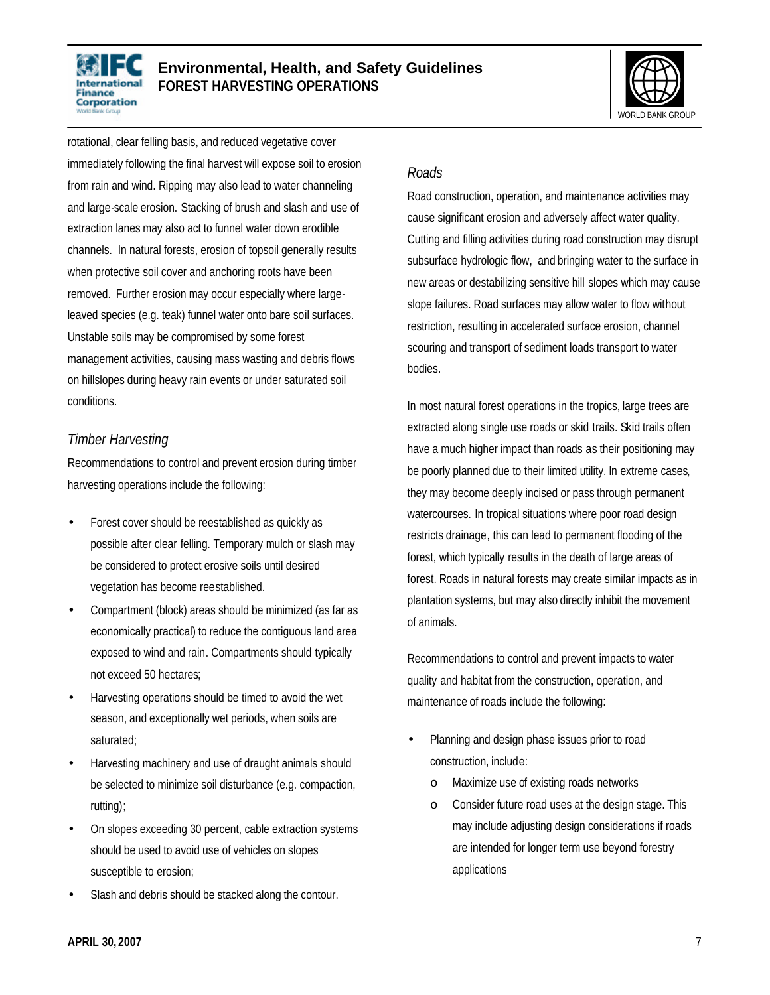



rotational, clear felling basis, and reduced vegetative cover immediately following the final harvest will expose soil to erosion from rain and wind. Ripping may also lead to water channeling and large-scale erosion. Stacking of brush and slash and use of extraction lanes may also act to funnel water down erodible channels. In natural forests, erosion of topsoil generally results when protective soil cover and anchoring roots have been removed. Further erosion may occur especially where largeleaved species (e.g. teak) funnel water onto bare soil surfaces. Unstable soils may be compromised by some forest management activities, causing mass wasting and debris flows on hillslopes during heavy rain events or under saturated soil conditions.

#### *Timber Harvesting*

Recommendations to control and prevent erosion during timber harvesting operations include the following:

- Forest cover should be reestablished as quickly as possible after clear felling. Temporary mulch or slash may be considered to protect erosive soils until desired vegetation has become reestablished.
- Compartment (block) areas should be minimized (as far as economically practical) to reduce the contiguous land area exposed to wind and rain. Compartments should typically not exceed 50 hectares;
- Harvesting operations should be timed to avoid the wet season, and exceptionally wet periods, when soils are saturated;
- Harvesting machinery and use of draught animals should be selected to minimize soil disturbance (e.g. compaction, rutting);
- On slopes exceeding 30 percent, cable extraction systems should be used to avoid use of vehicles on slopes susceptible to erosion;
- Slash and debris should be stacked along the contour.

#### *Roads*

Road construction, operation, and maintenance activities may cause significant erosion and adversely affect water quality. Cutting and filling activities during road construction may disrupt subsurface hydrologic flow, and bringing water to the surface in new areas or destabilizing sensitive hill slopes which may cause slope failures. Road surfaces may allow water to flow without restriction, resulting in accelerated surface erosion, channel scouring and transport of sediment loads transport to water bodies.

In most natural forest operations in the tropics, large trees are extracted along single use roads or skid trails. Skid trails often have a much higher impact than roads as their positioning may be poorly planned due to their limited utility. In extreme cases, they may become deeply incised or pass through permanent watercourses. In tropical situations where poor road design restricts drainage, this can lead to permanent flooding of the forest, which typically results in the death of large areas of forest. Roads in natural forests may create similar impacts as in plantation systems, but may also directly inhibit the movement of animals.

Recommendations to control and prevent impacts to water quality and habitat from the construction, operation, and maintenance of roads include the following:

- Planning and design phase issues prior to road construction, include:
	- o Maximize use of existing roads networks
	- o Consider future road uses at the design stage. This may include adjusting design considerations if roads are intended for longer term use beyond forestry applications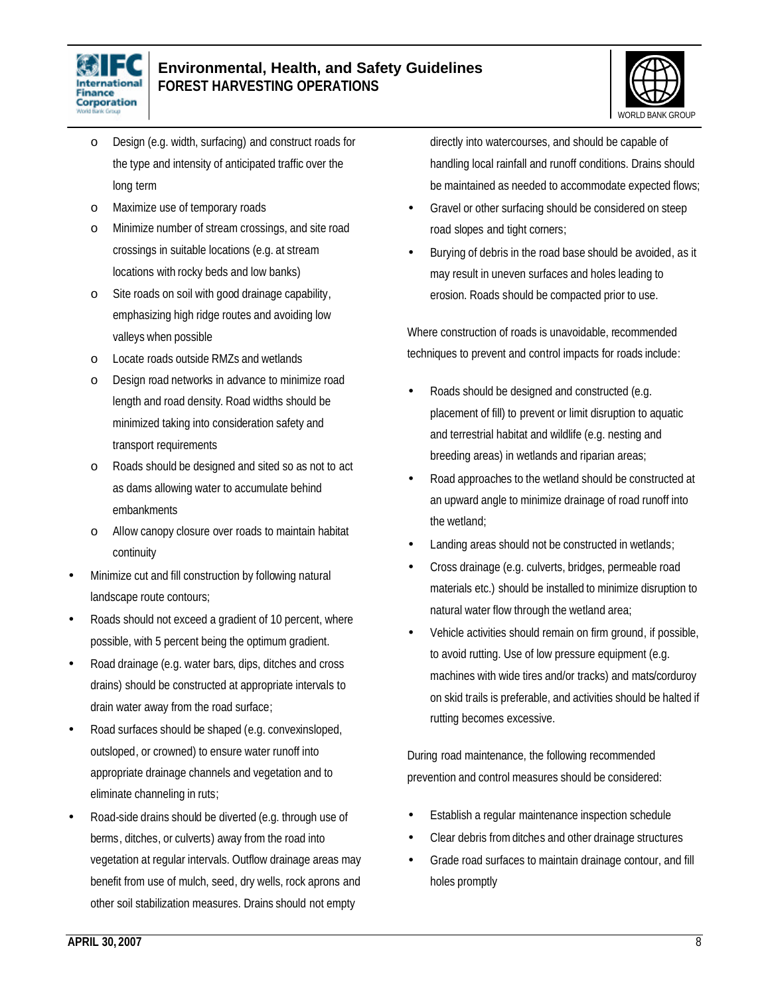



- o Design (e.g. width, surfacing) and construct roads for the type and intensity of anticipated traffic over the long term
- o Maximize use of temporary roads
- o Minimize number of stream crossings, and site road crossings in suitable locations (e.g. at stream locations with rocky beds and low banks)
- o Site roads on soil with good drainage capability, emphasizing high ridge routes and avoiding low valleys when possible
- o Locate roads outside RMZs and wetlands
- o Design road networks in advance to minimize road length and road density. Road widths should be minimized taking into consideration safety and transport requirements
- o Roads should be designed and sited so as not to act as dams allowing water to accumulate behind embankments
- o Allow canopy closure over roads to maintain habitat continuity
- Minimize cut and fill construction by following natural landscape route contours;
- Roads should not exceed a gradient of 10 percent, where possible, with 5 percent being the optimum gradient.
- Road drainage (e.g. water bars, dips, ditches and cross drains) should be constructed at appropriate intervals to drain water away from the road surface;
- Road surfaces should be shaped (e.g. convexinsloped, outsloped, or crowned) to ensure water runoff into appropriate drainage channels and vegetation and to eliminate channeling in ruts;
- Road-side drains should be diverted (e.g. through use of berms, ditches, or culverts) away from the road into vegetation at regular intervals. Outflow drainage areas may benefit from use of mulch, seed, dry wells, rock aprons and other soil stabilization measures. Drains should not empty

directly into watercourses, and should be capable of handling local rainfall and runoff conditions. Drains should be maintained as needed to accommodate expected flows;

- Gravel or other surfacing should be considered on steep road slopes and tight corners;
- Burying of debris in the road base should be avoided, as it may result in uneven surfaces and holes leading to erosion. Roads should be compacted prior to use.

Where construction of roads is unavoidable, recommended techniques to prevent and control impacts for roads include:

- Roads should be designed and constructed (e.g. placement of fill) to prevent or limit disruption to aquatic and terrestrial habitat and wildlife (e.g. nesting and breeding areas) in wetlands and riparian areas;
- Road approaches to the wetland should be constructed at an upward angle to minimize drainage of road runoff into the wetland;
- Landing areas should not be constructed in wetlands;
- Cross drainage (e.g. culverts, bridges, permeable road materials etc.) should be installed to minimize disruption to natural water flow through the wetland area;
- Vehicle activities should remain on firm ground, if possible, to avoid rutting. Use of low pressure equipment (e.g. machines with wide tires and/or tracks) and mats/corduroy on skid trails is preferable, and activities should be halted if rutting becomes excessive.

During road maintenance, the following recommended prevention and control measures should be considered:

- Establish a regular maintenance inspection schedule
- Clear debris from ditches and other drainage structures
- Grade road surfaces to maintain drainage contour, and fill holes promptly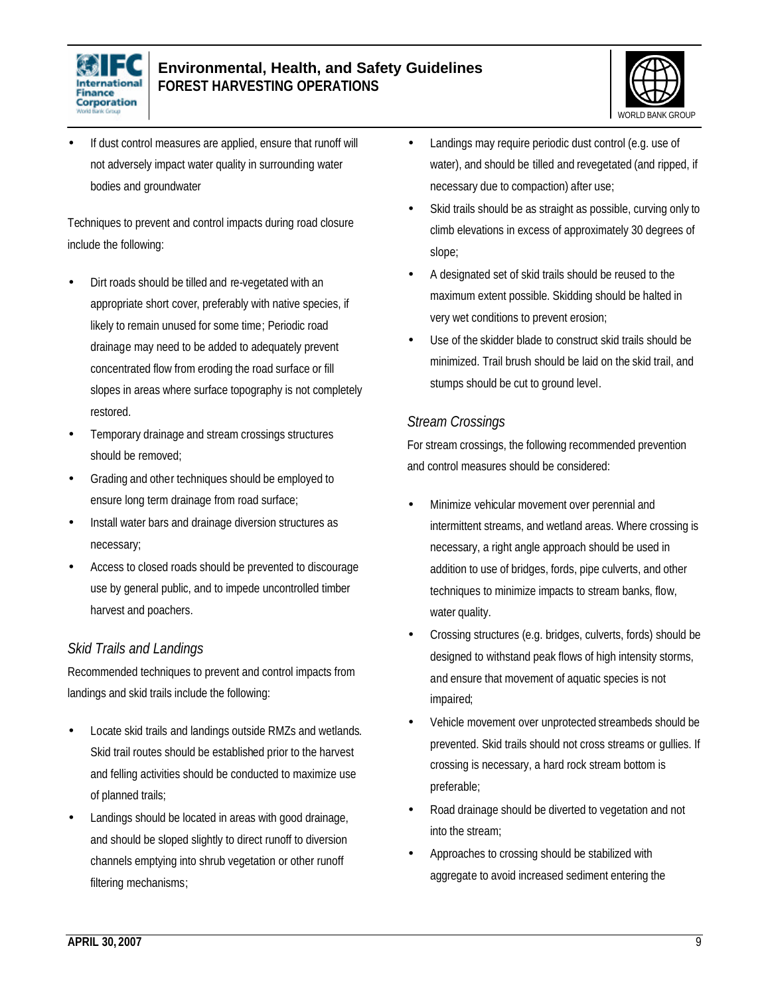



If dust control measures are applied, ensure that runoff will not adversely impact water quality in surrounding water bodies and groundwater

Techniques to prevent and control impacts during road closure include the following:

- Dirt roads should be tilled and re-vegetated with an appropriate short cover, preferably with native species, if likely to remain unused for some time; Periodic road drainage may need to be added to adequately prevent concentrated flow from eroding the road surface or fill slopes in areas where surface topography is not completely restored.
- Temporary drainage and stream crossings structures should be removed;
- Grading and other techniques should be employed to ensure long term drainage from road surface;
- Install water bars and drainage diversion structures as necessary;
- Access to closed roads should be prevented to discourage use by general public, and to impede uncontrolled timber harvest and poachers.

#### *Skid Trails and Landings*

Recommended techniques to prevent and control impacts from landings and skid trails include the following:

- Locate skid trails and landings outside RMZs and wetlands. Skid trail routes should be established prior to the harvest and felling activities should be conducted to maximize use of planned trails;
- Landings should be located in areas with good drainage, and should be sloped slightly to direct runoff to diversion channels emptying into shrub vegetation or other runoff filtering mechanisms;
- Landings may require periodic dust control (e.g. use of water), and should be tilled and revegetated (and ripped, if necessary due to compaction) after use;
- Skid trails should be as straight as possible, curving only to climb elevations in excess of approximately 30 degrees of slope;
- A designated set of skid trails should be reused to the maximum extent possible. Skidding should be halted in very wet conditions to prevent erosion;
- Use of the skidder blade to construct skid trails should be minimized. Trail brush should be laid on the skid trail, and stumps should be cut to ground level.

#### *Stream Crossings*

For stream crossings, the following recommended prevention and control measures should be considered:

- Minimize vehicular movement over perennial and intermittent streams, and wetland areas. Where crossing is necessary, a right angle approach should be used in addition to use of bridges, fords, pipe culverts, and other techniques to minimize impacts to stream banks, flow, water quality.
- Crossing structures (e.g. bridges, culverts, fords) should be designed to withstand peak flows of high intensity storms, and ensure that movement of aquatic species is not impaired;
- Vehicle movement over unprotected streambeds should be prevented. Skid trails should not cross streams or gullies. If crossing is necessary, a hard rock stream bottom is preferable;
- Road drainage should be diverted to vegetation and not into the stream;
- Approaches to crossing should be stabilized with aggregate to avoid increased sediment entering the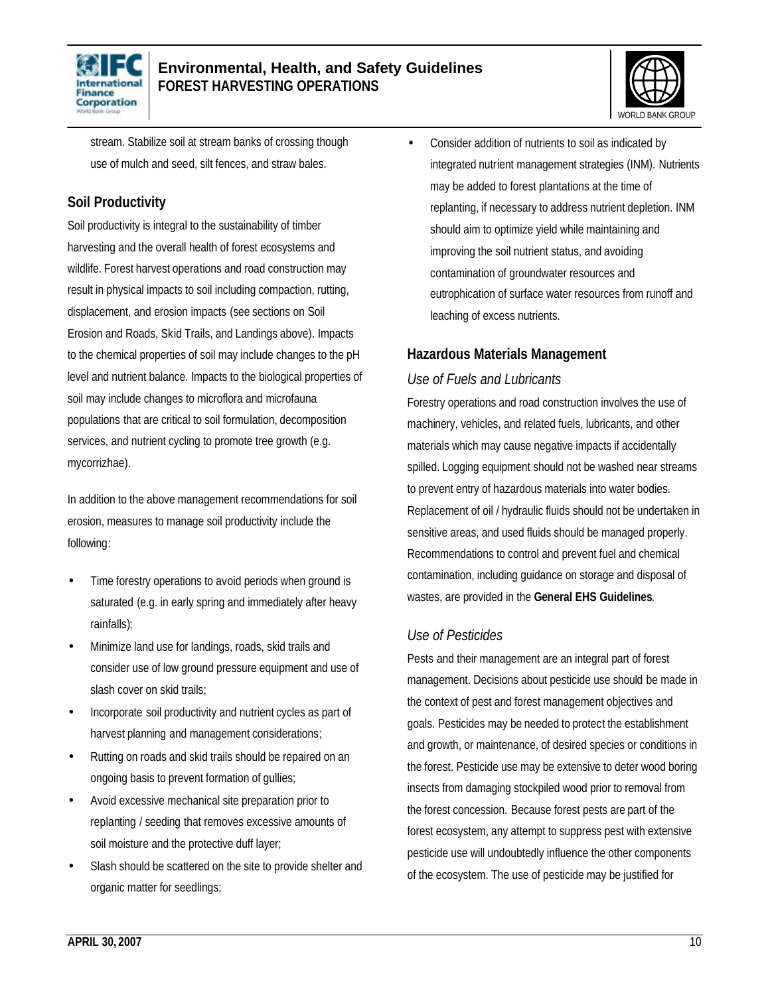



stream. Stabilize soil at stream banks of crossing though use of mulch and seed, silt fences, and straw bales.

### **Soil Productivity**

Soil productivity is integral to the sustainability of timber harvesting and the overall health of forest ecosystems and wildlife. Forest harvest operations and road construction may result in physical impacts to soil including compaction, rutting, displacement, and erosion impacts (see sections on Soil Erosion and Roads, Skid Trails, and Landings above). Impacts to the chemical properties of soil may include changes to the pH level and nutrient balance. Impacts to the biological properties of soil may include changes to microflora and microfauna populations that are critical to soil formulation, decomposition services, and nutrient cycling to promote tree growth (e.g. mycorrizhae).

In addition to the above management recommendations for soil erosion, measures to manage soil productivity include the following:

- Time forestry operations to avoid periods when ground is saturated (e.g. in early spring and immediately after heavy rainfalls);
- Minimize land use for landings, roads, skid trails and consider use of low ground pressure equipment and use of slash cover on skid trails;
- Incorporate soil productivity and nutrient cycles as part of harvest planning and management considerations;
- Rutting on roads and skid trails should be repaired on an ongoing basis to prevent formation of gullies;
- Avoid excessive mechanical site preparation prior to replanting / seeding that removes excessive amounts of soil moisture and the protective duff layer;
- Slash should be scattered on the site to provide shelter and organic matter for seedlings;

Consider addition of nutrients to soil as indicated by integrated nutrient management strategies (INM). Nutrients may be added to forest plantations at the time of replanting, if necessary to address nutrient depletion. INM should aim to optimize yield while maintaining and improving the soil nutrient status, and avoiding contamination of groundwater resources and eutrophication of surface water resources from runoff and leaching of excess nutrients.

#### **Hazardous Materials Management**

#### *Use of Fuels and Lubricants*

Forestry operations and road construction involves the use of machinery, vehicles, and related fuels, lubricants, and other materials which may cause negative impacts if accidentally spilled. Logging equipment should not be washed near streams to prevent entry of hazardous materials into water bodies. Replacement of oil / hydraulic fluids should not be undertaken in sensitive areas, and used fluids should be managed properly. Recommendations to control and prevent fuel and chemical contamination, including guidance on storage and disposal of wastes, are provided in the **General EHS Guidelines**.

#### *Use of Pesticides*

Pests and their management are an integral part of forest management. Decisions about pesticide use should be made in the context of pest and forest management objectives and goals. Pesticides may be needed to protect the establishment and growth, or maintenance, of desired species or conditions in the forest. Pesticide use may be extensive to deter wood boring insects from damaging stockpiled wood prior to removal from the forest concession. Because forest pests are part of the forest ecosystem, any attempt to suppress pest with extensive pesticide use will undoubtedly influence the other components of the ecosystem. The use of pesticide may be justified for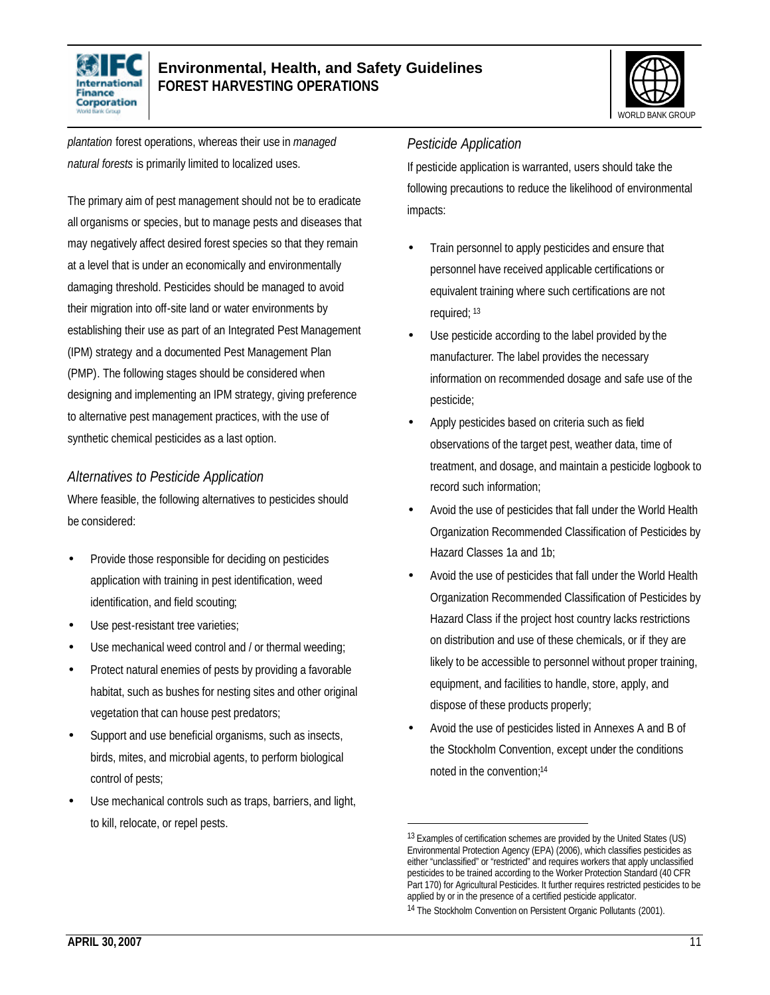



*plantation* forest operations, whereas their use in *managed natural forests* is primarily limited to localized uses.

The primary aim of pest management should not be to eradicate all organisms or species, but to manage pests and diseases that may negatively affect desired forest species so that they remain at a level that is under an economically and environmentally damaging threshold. Pesticides should be managed to avoid their migration into off-site land or water environments by establishing their use as part of an Integrated Pest Management (IPM) strategy and a documented Pest Management Plan (PMP). The following stages should be considered when designing and implementing an IPM strategy, giving preference to alternative pest management practices, with the use of synthetic chemical pesticides as a last option.

#### *Alternatives to Pesticide Application*

Where feasible, the following alternatives to pesticides should be considered:

- Provide those responsible for deciding on pesticides application with training in pest identification, weed identification, and field scouting;
- Use pest-resistant tree varieties;
- Use mechanical weed control and / or thermal weeding;
- Protect natural enemies of pests by providing a favorable habitat, such as bushes for nesting sites and other original vegetation that can house pest predators;
- Support and use beneficial organisms, such as insects, birds, mites, and microbial agents, to perform biological control of pests;
- Use mechanical controls such as traps, barriers, and light, to kill, relocate, or repel pests.

#### *Pesticide Application*

If pesticide application is warranted, users should take the following precautions to reduce the likelihood of environmental impacts:

- Train personnel to apply pesticides and ensure that personnel have received applicable certifications or equivalent training where such certifications are not required; 13
- Use pesticide according to the label provided by the manufacturer. The label provides the necessary information on recommended dosage and safe use of the pesticide;
- Apply pesticides based on criteria such as field observations of the target pest, weather data, time of treatment, and dosage, and maintain a pesticide logbook to record such information;
- Avoid the use of pesticides that fall under the World Health Organization Recommended Classification of Pesticides by Hazard Classes 1a and 1b;
- Avoid the use of pesticides that fall under the World Health Organization Recommended Classification of Pesticides by Hazard Class if the project host country lacks restrictions on distribution and use of these chemicals, or if they are likely to be accessible to personnel without proper training, equipment, and facilities to handle, store, apply, and dispose of these products properly;
- Avoid the use of pesticides listed in Annexes A and B of the Stockholm Convention, except under the conditions noted in the convention;<sup>14</sup>

<sup>13</sup> Examples of certification schemes are provided by the United States (US) Environmental Protection Agency (EPA) (2006), which classifies pesticides as either "unclassified" or "restricted" and requires workers that apply unclassified pesticides to be trained according to the Worker Protection Standard (40 CFR Part 170) for Agricultural Pesticides. It further requires restricted pesticides to be applied by or in the presence of a certified pesticide applicator.

<sup>14</sup> The Stockholm Convention on Persistent Organic Pollutants (2001).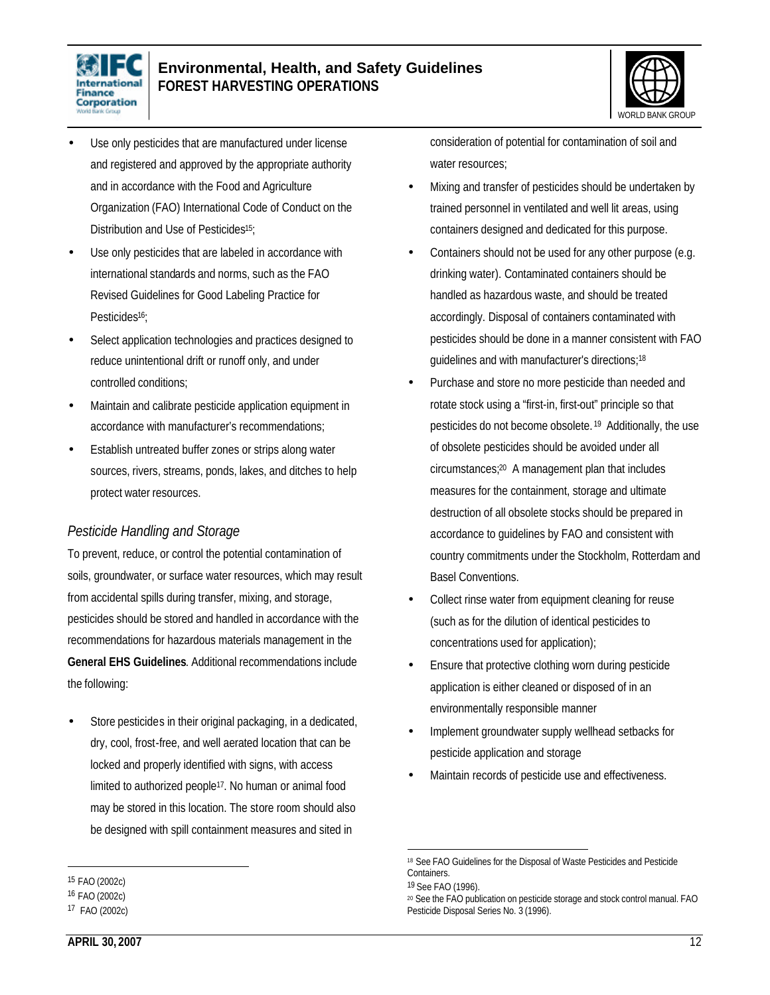



- Use only pesticides that are manufactured under license and registered and approved by the appropriate authority and in accordance with the Food and Agriculture Organization (FAO) International Code of Conduct on the Distribution and Use of Pesticides<sup>15</sup>;
- Use only pesticides that are labeled in accordance with international standards and norms, such as the FAO Revised Guidelines for Good Labeling Practice for Pesticides<sup>16</sup>;
- Select application technologies and practices designed to reduce unintentional drift or runoff only, and under controlled conditions;
- Maintain and calibrate pesticide application equipment in accordance with manufacturer's recommendations;
- Establish untreated buffer zones or strips along water sources, rivers, streams, ponds, lakes, and ditches to help protect water resources.

#### *Pesticide Handling and Storage*

To prevent, reduce, or control the potential contamination of soils, groundwater, or surface water resources, which may result from accidental spills during transfer, mixing, and storage, pesticides should be stored and handled in accordance with the recommendations for hazardous materials management in the **General EHS Guidelines**. Additional recommendations include the following:

• Store pesticides in their original packaging, in a dedicated, dry, cool, frost-free, and well aerated location that can be locked and properly identified with signs, with access limited to authorized people17. No human or animal food may be stored in this location. The store room should also be designed with spill containment measures and sited in

 $\overline{a}$ 

consideration of potential for contamination of soil and water resources;

- Mixing and transfer of pesticides should be undertaken by trained personnel in ventilated and well lit areas, using containers designed and dedicated for this purpose.
- Containers should not be used for any other purpose (e.g. drinking water). Contaminated containers should be handled as hazardous waste, and should be treated accordingly. Disposal of containers contaminated with pesticides should be done in a manner consistent with FAO guidelines and with manufacturer's directions;<sup>18</sup>
- Purchase and store no more pesticide than needed and rotate stock using a "first-in, first-out" principle so that pesticides do not become obsolete. <sup>19</sup> Additionally, the use of obsolete pesticides should be avoided under all circumstances;<sup>20</sup> A management plan that includes measures for the containment, storage and ultimate destruction of all obsolete stocks should be prepared in accordance to guidelines by FAO and consistent with country commitments under the Stockholm, Rotterdam and Basel Conventions.
- Collect rinse water from equipment cleaning for reuse (such as for the dilution of identical pesticides to concentrations used for application);
- Ensure that protective clothing worn during pesticide application is either cleaned or disposed of in an environmentally responsible manner
- Implement groundwater supply wellhead setbacks for pesticide application and storage
- Maintain records of pesticide use and effectiveness.

<sup>15</sup> FAO (2002c)

<sup>16</sup> FAO (2002c)

<sup>1</sup> <sup>18</sup> See FAO Guidelines for the Disposal of Waste Pesticides and Pesticide Containers.

<sup>19</sup> See FAO (1996).

<sup>20</sup> See the FAO publication on pesticide storage and stock control manual. FAO Pesticide Disposal Series No. 3 (1996).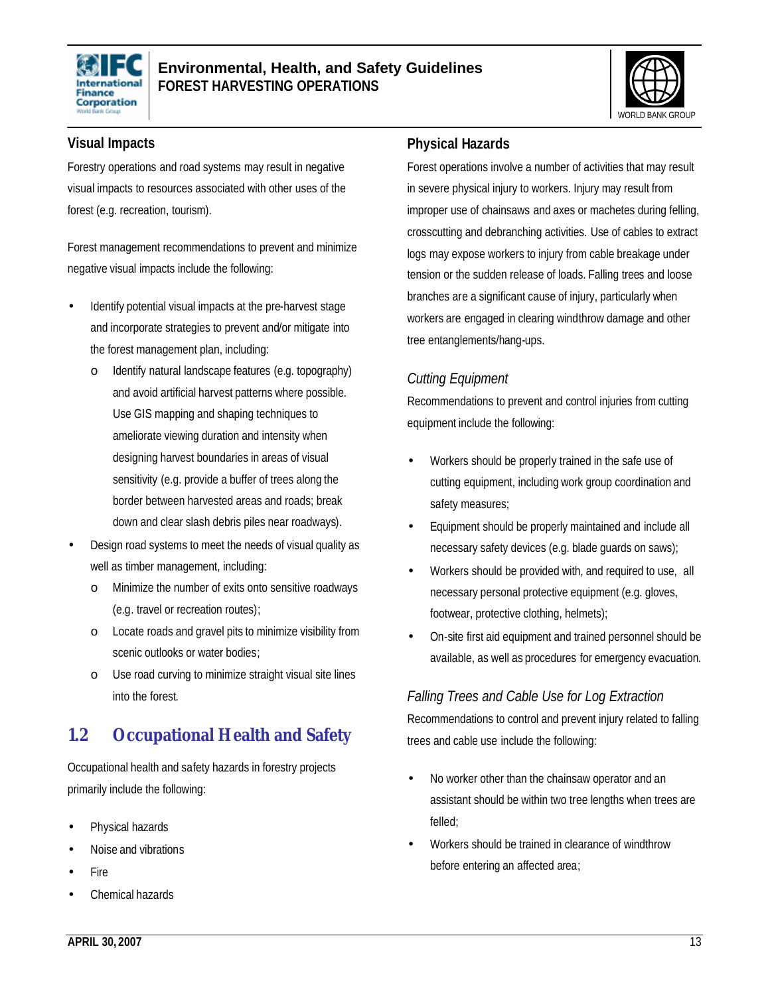



#### **Visual Impacts**

Forestry operations and road systems may result in negative visual impacts to resources associated with other uses of the forest (e.g. recreation, tourism).

Forest management recommendations to prevent and minimize negative visual impacts include the following:

- Identify potential visual impacts at the pre-harvest stage and incorporate strategies to prevent and/or mitigate into the forest management plan, including:
	- o Identify natural landscape features (e.g. topography) and avoid artificial harvest patterns where possible. Use GIS mapping and shaping techniques to ameliorate viewing duration and intensity when designing harvest boundaries in areas of visual sensitivity (e.g. provide a buffer of trees along the border between harvested areas and roads; break down and clear slash debris piles near roadways).
- Design road systems to meet the needs of visual quality as well as timber management, including:
	- o Minimize the number of exits onto sensitive roadways (e.g. travel or recreation routes);
	- o Locate roads and gravel pits to minimize visibility from scenic outlooks or water bodies;
	- o Use road curving to minimize straight visual site lines into the forest.

### **1.2 Occupational Health and Safety**

Occupational health and safety hazards in forestry projects primarily include the following:

- Physical hazards
- Noise and vibrations
- **Fire**
- Chemical hazards

#### **Physical Hazards**

Forest operations involve a number of activities that may result in severe physical injury to workers. Injury may result from improper use of chainsaws and axes or machetes during felling, crosscutting and debranching activities. Use of cables to extract logs may expose workers to injury from cable breakage under tension or the sudden release of loads. Falling trees and loose branches are a significant cause of injury, particularly when workers are engaged in clearing windthrow damage and other tree entanglements/hang-ups.

### *Cutting Equipment*

Recommendations to prevent and control injuries from cutting equipment include the following:

- Workers should be properly trained in the safe use of cutting equipment, including work group coordination and safety measures;
- Equipment should be properly maintained and include all necessary safety devices (e.g. blade guards on saws);
- Workers should be provided with, and required to use, all necessary personal protective equipment (e.g. gloves, footwear, protective clothing, helmets);
- On-site first aid equipment and trained personnel should be available, as well as procedures for emergency evacuation.

#### *Falling Trees and Cable Use for Log Extraction*

Recommendations to control and prevent injury related to falling trees and cable use include the following:

- No worker other than the chainsaw operator and an assistant should be within two tree lengths when trees are felled;
- Workers should be trained in clearance of windthrow before entering an affected area;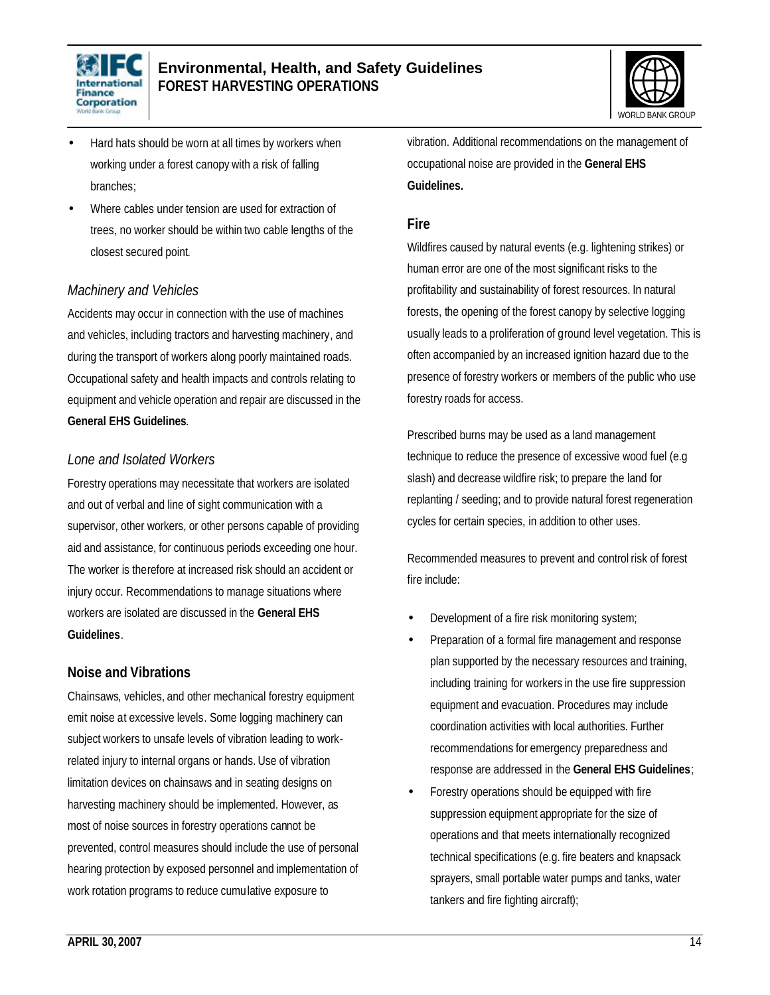



- Hard hats should be worn at all times by workers when working under a forest canopy with a risk of falling branches;
- Where cables under tension are used for extraction of trees, no worker should be within two cable lengths of the closest secured point.

#### *Machinery and Vehicles*

Accidents may occur in connection with the use of machines and vehicles, including tractors and harvesting machinery, and during the transport of workers along poorly maintained roads. Occupational safety and health impacts and controls relating to equipment and vehicle operation and repair are discussed in the **General EHS Guidelines**.

#### *Lone and Isolated Workers*

Forestry operations may necessitate that workers are isolated and out of verbal and line of sight communication with a supervisor, other workers, or other persons capable of providing aid and assistance, for continuous periods exceeding one hour. The worker is therefore at increased risk should an accident or injury occur. Recommendations to manage situations where workers are isolated are discussed in the **General EHS Guidelines**.

#### **Noise and Vibrations**

Chainsaws, vehicles, and other mechanical forestry equipment emit noise at excessive levels. Some logging machinery can subject workers to unsafe levels of vibration leading to workrelated injury to internal organs or hands. Use of vibration limitation devices on chainsaws and in seating designs on harvesting machinery should be implemented. However, as most of noise sources in forestry operations cannot be prevented, control measures should include the use of personal hearing protection by exposed personnel and implementation of work rotation programs to reduce cumulative exposure to

vibration. Additional recommendations on the management of occupational noise are provided in the **General EHS Guidelines.**

#### **Fire**

Wildfires caused by natural events (e.g. lightening strikes) or human error are one of the most significant risks to the profitability and sustainability of forest resources. In natural forests, the opening of the forest canopy by selective logging usually leads to a proliferation of ground level vegetation. This is often accompanied by an increased ignition hazard due to the presence of forestry workers or members of the public who use forestry roads for access.

Prescribed burns may be used as a land management technique to reduce the presence of excessive wood fuel (e.g slash) and decrease wildfire risk; to prepare the land for replanting / seeding; and to provide natural forest regeneration cycles for certain species, in addition to other uses.

Recommended measures to prevent and control risk of forest fire include:

- Development of a fire risk monitoring system;
- Preparation of a formal fire management and response plan supported by the necessary resources and training, including training for workers in the use fire suppression equipment and evacuation. Procedures may include coordination activities with local authorities. Further recommendations for emergency preparedness and response are addressed in the **General EHS Guidelines**;
- Forestry operations should be equipped with fire suppression equipment appropriate for the size of operations and that meets internationally recognized technical specifications (e.g. fire beaters and knapsack sprayers, small portable water pumps and tanks, water tankers and fire fighting aircraft);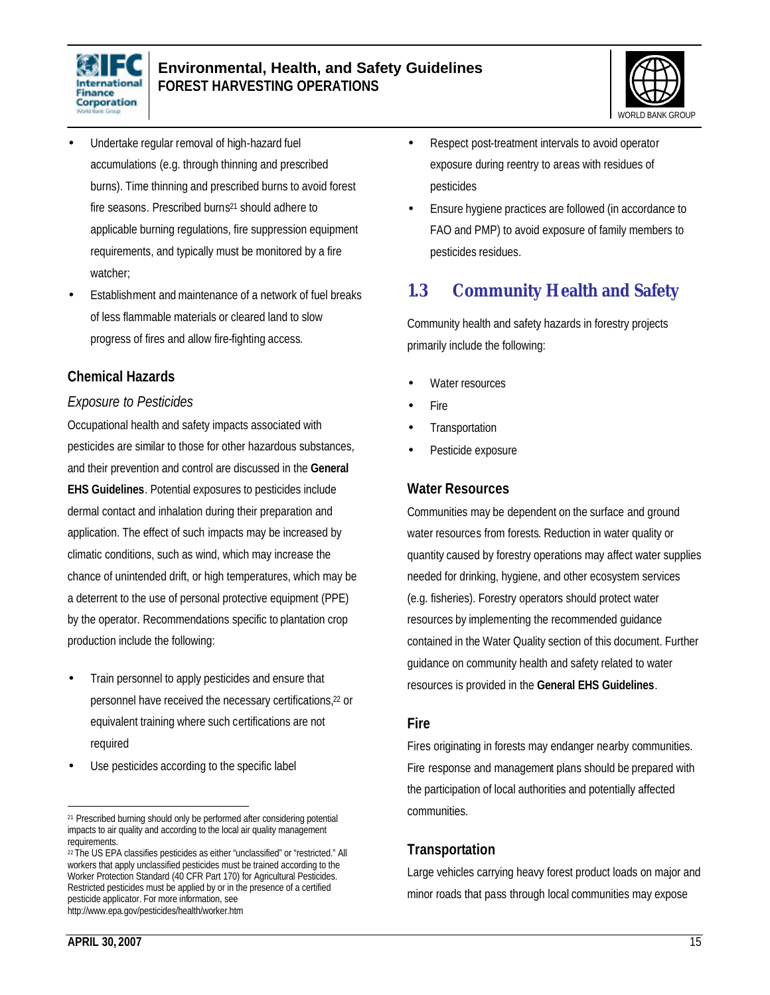



- Undertake regular removal of high-hazard fuel accumulations (e.g. through thinning and prescribed burns). Time thinning and prescribed burns to avoid forest fire seasons. Prescribed burns<sup>21</sup> should adhere to applicable burning regulations, fire suppression equipment requirements, and typically must be monitored by a fire watcher;
- Establishment and maintenance of a network of fuel breaks of less flammable materials or cleared land to slow progress of fires and allow fire-fighting access.

#### **Chemical Hazards**

#### *Exposure to Pesticides*

Occupational health and safety impacts associated with pesticides are similar to those for other hazardous substances, and their prevention and control are discussed in the **General EHS Guidelines**. Potential exposures to pesticides include dermal contact and inhalation during their preparation and application. The effect of such impacts may be increased by climatic conditions, such as wind, which may increase the chance of unintended drift, or high temperatures, which may be a deterrent to the use of personal protective equipment (PPE) by the operator. Recommendations specific to plantation crop production include the following:

- Train personnel to apply pesticides and ensure that personnel have received the necessary certifications,22 or equivalent training where such certifications are not required
- Use pesticides according to the specific label

- Respect post-treatment intervals to avoid operator exposure during reentry to areas with residues of pesticides
- Ensure hygiene practices are followed (in accordance to FAO and PMP) to avoid exposure of family members to pesticides residues.

### **1.3 Community Health and Safety**

Community health and safety hazards in forestry projects primarily include the following:

- Water resources
- Fire
- **Transportation**
- Pesticide exposure

#### **Water Resources**

Communities may be dependent on the surface and ground water resources from forests. Reduction in water quality or quantity caused by forestry operations may affect water supplies needed for drinking, hygiene, and other ecosystem services (e.g. fisheries). Forestry operators should protect water resources by implementing the recommended guidance contained in the Water Quality section of this document. Further guidance on community health and safety related to water resources is provided in the **General EHS Guidelines**.

#### **Fire**

Fires originating in forests may endanger nearby communities. Fire response and management plans should be prepared with the participation of local authorities and potentially affected communities.

#### **Transportation**

Large vehicles carrying heavy forest product loads on major and minor roads that pass through local communities may expose

 $\overline{a}$ <sup>21</sup> Prescribed burning should only be performed after considering potential impacts to air quality and according to the local air quality management requirements.

<sup>&</sup>lt;sup>22</sup> The US EPA classifies pesticides as either "unclassified" or "restricted." All workers that apply unclassified pesticides must be trained according to the Worker Protection Standard (40 CFR Part 170) for Agricultural Pesticides. Restricted pesticides must be applied by or in the presence of a certified pesticide applicator. For more information, see http://www.epa.gov/pesticides/health/worker.htm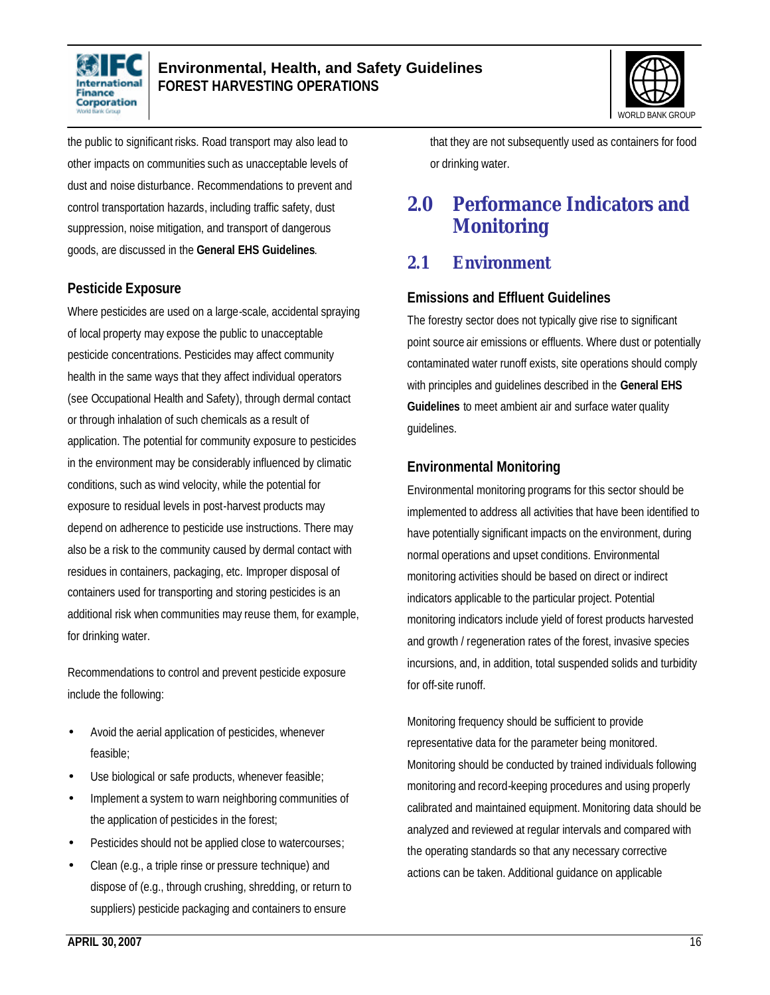



the public to significant risks. Road transport may also lead to other impacts on communities such as unacceptable levels of dust and noise disturbance. Recommendations to prevent and control transportation hazards, including traffic safety, dust suppression, noise mitigation, and transport of dangerous goods, are discussed in the **General EHS Guidelines**.

#### **Pesticide Exposure**

Where pesticides are used on a large-scale, accidental spraying of local property may expose the public to unacceptable pesticide concentrations. Pesticides may affect community health in the same ways that they affect individual operators (see Occupational Health and Safety), through dermal contact or through inhalation of such chemicals as a result of application. The potential for community exposure to pesticides in the environment may be considerably influenced by climatic conditions, such as wind velocity, while the potential for exposure to residual levels in post-harvest products may depend on adherence to pesticide use instructions. There may also be a risk to the community caused by dermal contact with residues in containers, packaging, etc. Improper disposal of containers used for transporting and storing pesticides is an additional risk when communities may reuse them, for example, for drinking water.

Recommendations to control and prevent pesticide exposure include the following:

- Avoid the aerial application of pesticides, whenever feasible;
- Use biological or safe products, whenever feasible;
- Implement a system to warn neighboring communities of the application of pesticides in the forest;
- Pesticides should not be applied close to watercourses;
- Clean (e.g., a triple rinse or pressure technique) and dispose of (e.g., through crushing, shredding, or return to suppliers) pesticide packaging and containers to ensure

that they are not subsequently used as containers for food or drinking water.

## **2.0 Performance Indicators and Monitoring**

#### **2.1 Environment**

#### **Emissions and Effluent Guidelines**

The forestry sector does not typically give rise to significant point source air emissions or effluents. Where dust or potentially contaminated water runoff exists, site operations should comply with principles and guidelines described in the **General EHS Guidelines** to meet ambient air and surface water quality guidelines.

#### **Environmental Monitoring**

Environmental monitoring programs for this sector should be implemented to address all activities that have been identified to have potentially significant impacts on the environment, during normal operations and upset conditions. Environmental monitoring activities should be based on direct or indirect indicators applicable to the particular project. Potential monitoring indicators include yield of forest products harvested and growth / regeneration rates of the forest, invasive species incursions, and, in addition, total suspended solids and turbidity for off-site runoff.

Monitoring frequency should be sufficient to provide representative data for the parameter being monitored. Monitoring should be conducted by trained individuals following monitoring and record-keeping procedures and using properly calibrated and maintained equipment. Monitoring data should be analyzed and reviewed at regular intervals and compared with the operating standards so that any necessary corrective actions can be taken. Additional guidance on applicable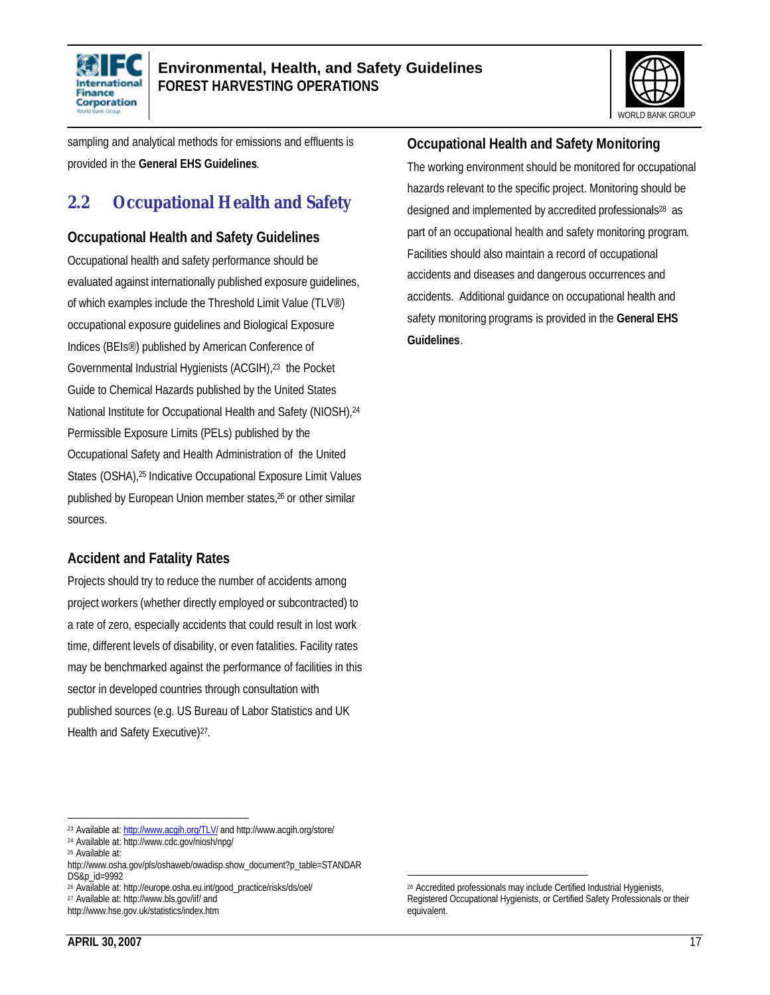



sampling and analytical methods for emissions and effluents is provided in the **General EHS Guidelines**.

# **2.2 Occupational Health and Safety**

#### **Occupational Health and Safety Guidelines**

Occupational health and safety performance should be evaluated against internationally published exposure guidelines, of which examples include the Threshold Limit Value (TLV®) occupational exposure guidelines and Biological Exposure Indices (BEIs®) published by American Conference of Governmental Industrial Hygienists (ACGIH),23 the Pocket Guide to Chemical Hazards published by the United States National Institute for Occupational Health and Safety (NIOSH),<sup>24</sup> Permissible Exposure Limits (PELs) published by the Occupational Safety and Health Administration of the United States (OSHA),25 Indicative Occupational Exposure Limit Values published by European Union member states,<sup>26</sup> or other similar sources.

#### **Accident and Fatality Rates**

Projects should try to reduce the number of accidents among project workers (whether directly employed or subcontracted) to a rate of zero, especially accidents that could result in lost work time, different levels of disability, or even fatalities. Facility rates may be benchmarked against the performance of facilities in this sector in developed countries through consultation with published sources (e.g. US Bureau of Labor Statistics and UK Health and Safety Executive)<sup>27</sup>.

#### **Occupational Health and Safety Monitoring**

The working environment should be monitored for occupational hazards relevant to the specific project. Monitoring should be designed and implemented by accredited professionals<sup>28</sup> as part of an occupational health and safety monitoring program. Facilities should also maintain a record of occupational accidents and diseases and dangerous occurrences and accidents. Additional guidance on occupational health and safety monitoring programs is provided in the **General EHS Guidelines**.

 $\overline{a}$ <sup>23</sup> Available at: http://www.acgih.org/TLV/ and http://www.acgih.org/store/

<sup>24</sup> Available at: http://www.cdc.gov/niosh/npg/

<sup>25</sup> Available at:

http://www.osha.gov/pls/oshaweb/owadisp.show\_document?p\_table=STANDAR DS&p\_id=9992

<sup>26</sup> Available at: http://europe.osha.eu.int/good\_practice/risks/ds/oel/

<sup>27</sup> Available at: http://www.bls.gov/iif/ and

http://www.hse.gov.uk/statistics/index.htm

<sup>28</sup> Accredited professionals may include Certified Industrial Hygienists, Registered Occupational Hygienists, or Certified Safety Professionals or their equivalent.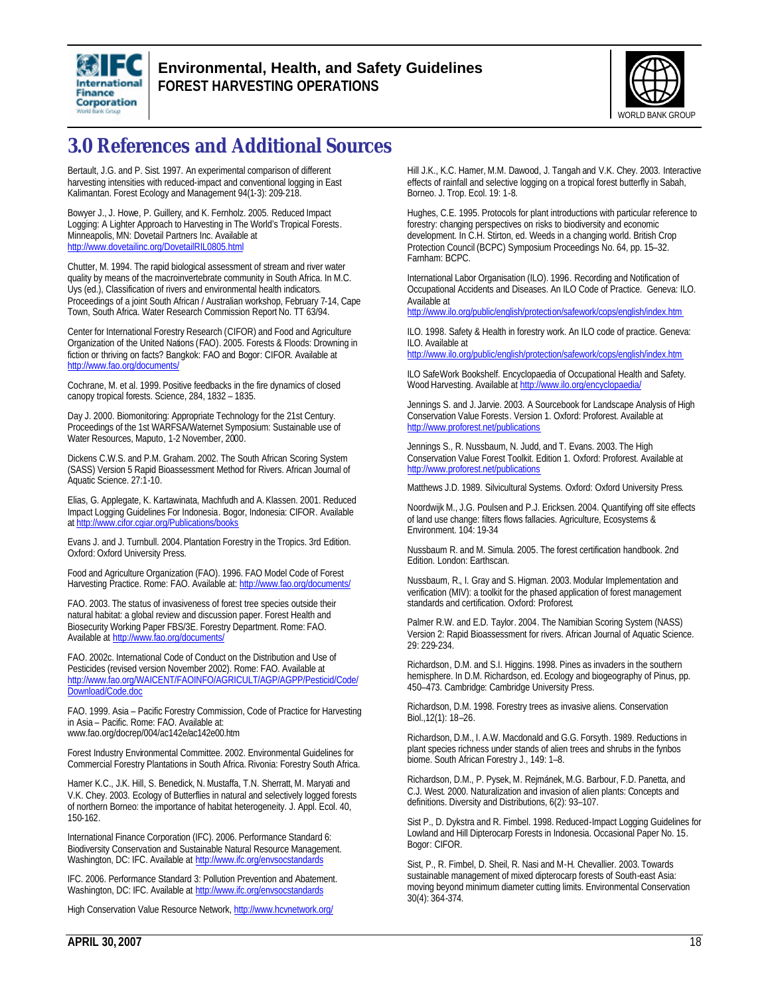



# **3.0 References and Additional Sources**

Bertault, J.G. and P. Sist. 1997. An experimental comparison of different harvesting intensities with reduced-impact and conventional logging in East Kalimantan. Forest Ecology and Management 94(1-3): 209-218.

Bowyer J., J. Howe, P. Guillery, and K. Fernholz. 2005. Reduced Impact Logging: A Lighter Approach to Harvesting in The World's Tropical Forests. Minneapolis, MN: Dovetail Partners Inc. Available at http://www.dovetailinc.org/DovetailRIL0805.html

Chutter, M. 1994. The rapid biological assessment of stream and river water quality by means of the macroinvertebrate community in South Africa. In M.C. Uys (ed.), Classification of rivers and environmental health indicators. Proceedings of a joint South African / Australian workshop, February 7-14, Cape Town, South Africa. Water Research Commission Report No. TT 63/94.

Center for International Forestry Research (CIFOR) and Food and Agriculture Organization of the United Nations (FAO). 2005. Forests & Floods: Drowning in fiction or thriving on facts? Bangkok: FAO and Bogor: CIFOR. Available at http://www.fao.org/documents/

Cochrane, M. et al. 1999. Positive feedbacks in the fire dynamics of closed canopy tropical forests. Science, 284, 1832 – 1835.

Day J. 2000. Biomonitoring: Appropriate Technology for the 21st Century. Proceedings of the 1st WARFSA/Waternet Symposium: Sustainable use of Water Resources, Maputo, 1-2 November, 2000.

Dickens C.W.S. and P.M. Graham. 2002. The South African Scoring System (SASS) Version 5 Rapid Bioassessment Method for Rivers. African Journal of Aquatic Science. 27:1-10.

Elias, G. Applegate, K. Kartawinata, Machfudh and A. Klassen. 2001. Reduced Impact Logging Guidelines For Indonesia. Bogor, Indonesia: CIFOR. Available at http://www.cifor.cgiar.org/Publications/books

Evans J. and J. Turnbull. 2004. Plantation Forestry in the Tropics. 3rd Edition. Oxford: Oxford University Press.

Food and Agriculture Organization (FAO). 1996. FAO Model Code of Forest Harvesting Practice. Rome: FAO. Available at: http://www.fao.org/documer

FAO. 2003. The status of invasiveness of forest tree species outside their natural habitat: a global review and discussion paper. Forest Health and Biosecurity Working Paper FBS/3E. Forestry Department. Rome: FAO. Available at http://www.fao.org/documents/

FAO. 2002c. International Code of Conduct on the Distribution and Use of Pesticides (revised version November 2002). Rome: FAO. Available at http://www.fao.org/WAICENT/FAOINFO/AGRICULT/AGP/AGPP/Pesticid/Code/ Download/Code.doc

FAO. 1999. Asia – Pacific Forestry Commission, Code of Practice for Harvesting in Asia – Pacific. Rome: FAO. Available at: www.fao.org/docrep/004/ac142e/ac142e00.htm

Forest Industry Environmental Committee. 2002. Environmental Guidelines for Commercial Forestry Plantations in South Africa. Rivonia: Forestry South Africa.

Hamer K.C., J.K. Hill, S. Benedick, N. Mustaffa, T.N. Sherratt, M. Maryati and V.K. Chey. 2003. Ecology of Butterflies in natural and selectively logged forests of northern Borneo: the importance of habitat heterogeneity. J. Appl. Ecol. 40, 150-162.

International Finance Corporation (IFC). 2006. Performance Standard 6: Biodiversity Conservation and Sustainable Natural Resource Management. Washington, DC: IFC. Available at http://www.ifc.org/envsocstandards

IFC. 2006. Performance Standard 3: Pollution Prevention and Abatement. Washington, DC: IFC. Available at http://www.ifc.org/envsocstandards

High Conservation Value Resource Network, http://www.hcvnetwork.org/

Hill J.K., K.C. Hamer, M.M. Dawood, J. Tangah and V.K. Chey. 2003. Interactive effects of rainfall and selective logging on a tropical forest butterfly in Sabah, Borneo. J. Trop. Ecol. 19: 1-8.

Hughes, C.E. 1995. Protocols for plant introductions with particular reference to forestry: changing perspectives on risks to biodiversity and economic development. In C.H. Stirton, ed. Weeds in a changing world. British Crop Protection Council (BCPC) Symposium Proceedings No. 64, pp. 15–32. Farnham: BCPC.

International Labor Organisation (ILO). 1996. Recording and Notification of Occupational Accidents and Diseases. An ILO Code of Practice. Geneva: ILO. Available at

http://www.ilo.org/public/english/protection/safework/cops/english/index.htm

ILO. 1998. Safety & Health in forestry work. An ILO code of practice. Geneva: ILO. Available at

http://www.ilo.org/public/english/protection/safework/cops/english/index.htm

ILO SafeWork Bookshelf. Encyclopaedia of Occupational Health and Safety. Wood Harvesting. Available at http://www.ilo.org/encyclopaedia/

Jennings S. and J. Jarvie. 2003. A Sourcebook for Landscape Analysis of High Conservation Value Forests. Version 1. Oxford: Proforest. Available at http://www.proforest.net/publications

Jennings S., R. Nussbaum, N. Judd, and T. Evans. 2003. The High Conservation Value Forest Toolkit. Edition 1. Oxford: Proforest. Available at http://www.proforest.net/publications

Matthews J.D. 1989. Silvicultural Systems. Oxford: Oxford University Press.

Noordwijk M., J.G. Poulsen and P.J. Ericksen. 2004. Quantifying off site effects of land use change: filters flows fallacies. Agriculture, Ecosystems & Environment. 104: 19-34

Nussbaum R. and M. Simula. 2005. The forest certification handbook. 2nd Edition. London: Earthscan.

Nussbaum, R., I. Gray and S. Higman. 2003. Modular Implementation and verification (MIV): a toolkit for the phased application of forest management standards and certification. Oxford: Proforest.

Palmer R.W. and E.D. Taylor. 2004. The Namibian Scoring System (NASS) Version 2: Rapid Bioassessment for rivers. African Journal of Aquatic Science. 29: 229-234.

Richardson, D.M. and S.I. Higgins. 1998. Pines as invaders in the southern hemisphere. In D.M. Richardson, ed. Ecology and biogeography of Pinus, pp. 450–473. Cambridge: Cambridge University Press.

Richardson, D.M. 1998. Forestry trees as invasive aliens. Conservation Biol.,12(1): 18–26.

Richardson, D.M., I. A.W. Macdonald and G.G. Forsyth. 1989. Reductions in plant species richness under stands of alien trees and shrubs in the fynbos biome. South African Forestry J., 149: 1–8.

Richardson, D.M., P. Pysek, M. Rejmánek, M.G. Barbour, F.D. Panetta, and C.J. West. 2000. Naturalization and invasion of alien plants: Concepts and definitions. Diversity and Distributions, 6(2): 93–107.

Sist P., D. Dykstra and R. Fimbel. 1998. Reduced-Impact Logging Guidelines for Lowland and Hill Dipterocarp Forests in Indonesia. Occasional Paper No. 15. Bogor: CIFOR.

Sist, P., R. Fimbel, D. Sheil, R. Nasi and M-H. Chevallier. 2003. Towards sustainable management of mixed dipterocarp forests of South-east Asia: moving beyond minimum diameter cutting limits. Environmental Conservation 30(4): 364-374.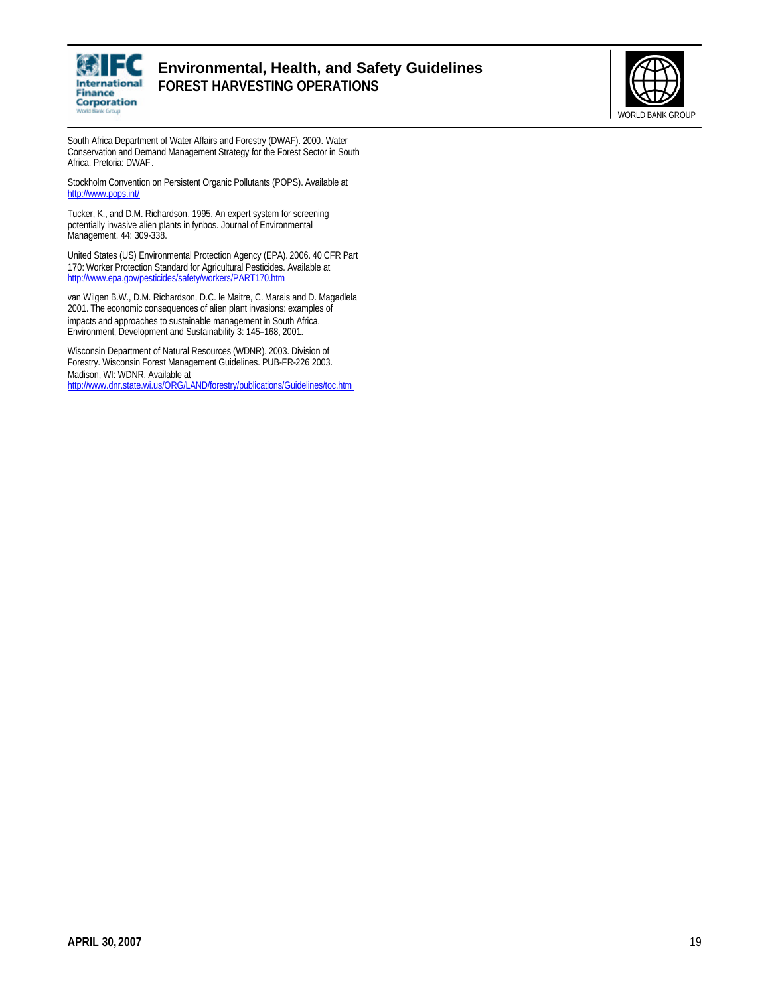



South Africa Department of Water Affairs and Forestry (DWAF). 2000. Water Conservation and Demand Management Strategy for the Forest Sector in South Africa. Pretoria: DWAF.

Stockholm Convention on Persistent Organic Pollutants (POPS). Available at http://www.pops.int/

Tucker, K., and D.M. Richardson. 1995. An expert system for screening potentially invasive alien plants in fynbos. Journal of Environmental Management, 44: 309-338.

United States (US) Environmental Protection Agency (EPA). 2006. 40 CFR Part 170: Worker Protection Standard for Agricultural Pesticides. Available at http://www.epa.gov/pesticides/safety/workers/PART170.htm

van Wilgen B.W., D.M. Richardson, D.C. le Maitre, C. Marais and D. Magadlela 2001. The economic consequences of alien plant invasions: examples of impacts and approaches to sustainable management in South Africa. Environment, Development and Sustainability 3: 145–168, 2001.

Wisconsin Department of Natural Resources (WDNR). 2003. Division of Forestry. Wisconsin Forest Management Guidelines. PUB-FR-226 2003. Madison, WI: WDNR. Available at

http://www.dnr.state.wi.us/ORG/LAND/forestry/publications/Guidelines/toc.htm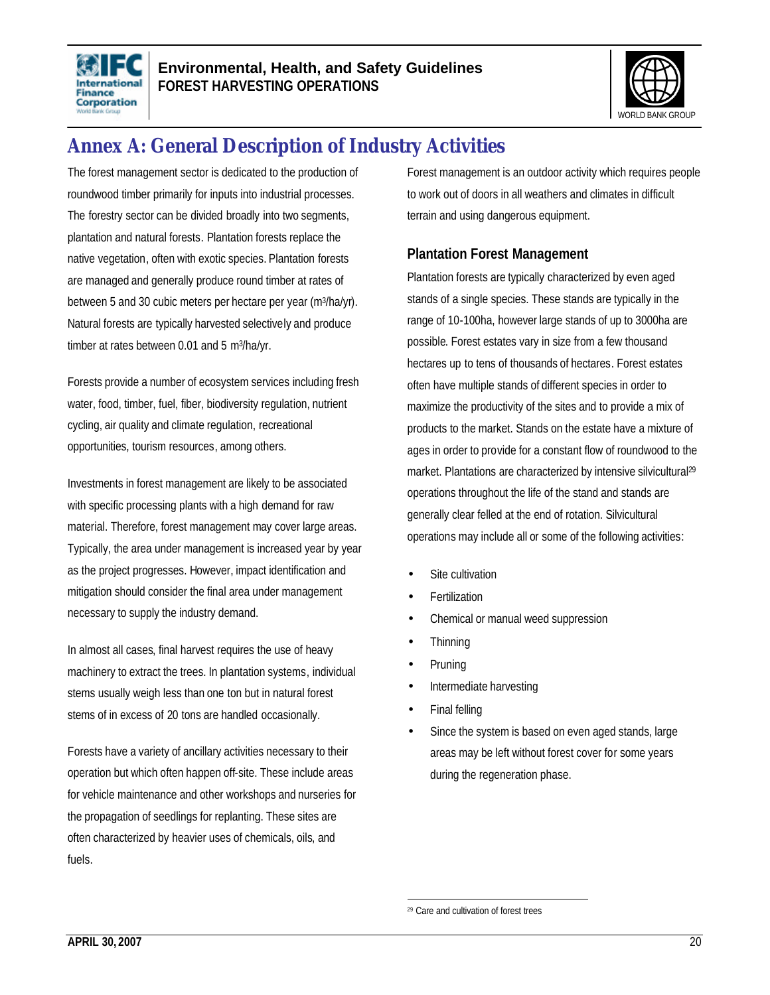



# **Annex A: General Description of Industry Activities**

The forest management sector is dedicated to the production of roundwood timber primarily for inputs into industrial processes. The forestry sector can be divided broadly into two segments, plantation and natural forests. Plantation forests replace the native vegetation, often with exotic species. Plantation forests are managed and generally produce round timber at rates of between 5 and 30 cubic meters per hectare per year (m<sup>3</sup> /ha/yr). Natural forests are typically harvested selectively and produce timber at rates between 0.01 and 5 m<sup>3</sup>/ha/yr.

Forests provide a number of ecosystem services including fresh water, food, timber, fuel, fiber, biodiversity regulation, nutrient cycling, air quality and climate regulation, recreational opportunities, tourism resources, among others.

Investments in forest management are likely to be associated with specific processing plants with a high demand for raw material. Therefore, forest management may cover large areas. Typically, the area under management is increased year by year as the project progresses. However, impact identification and mitigation should consider the final area under management necessary to supply the industry demand.

In almost all cases, final harvest requires the use of heavy machinery to extract the trees. In plantation systems, individual stems usually weigh less than one ton but in natural forest stems of in excess of 20 tons are handled occasionally.

Forests have a variety of ancillary activities necessary to their operation but which often happen off-site. These include areas for vehicle maintenance and other workshops and nurseries for the propagation of seedlings for replanting. These sites are often characterized by heavier uses of chemicals, oils, and fuels.

Forest management is an outdoor activity which requires people to work out of doors in all weathers and climates in difficult terrain and using dangerous equipment.

#### **Plantation Forest Management**

Plantation forests are typically characterized by even aged stands of a single species. These stands are typically in the range of 10-100ha, however large stands of up to 3000ha are possible. Forest estates vary in size from a few thousand hectares up to tens of thousands of hectares. Forest estates often have multiple stands of different species in order to maximize the productivity of the sites and to provide a mix of products to the market. Stands on the estate have a mixture of ages in order to provide for a constant flow of roundwood to the market. Plantations are characterized by intensive silvicultural<sup>29</sup> operations throughout the life of the stand and stands are generally clear felled at the end of rotation. Silvicultural operations may include all or some of the following activities:

- Site cultivation
- **Fertilization**
- Chemical or manual weed suppression
- **Thinning**
- Pruning
- Intermediate harvesting
- Final felling
- Since the system is based on even aged stands, large areas may be left without forest cover for some years during the regeneration phase.

 $\overline{a}$ 29 Care and cultivation of forest trees